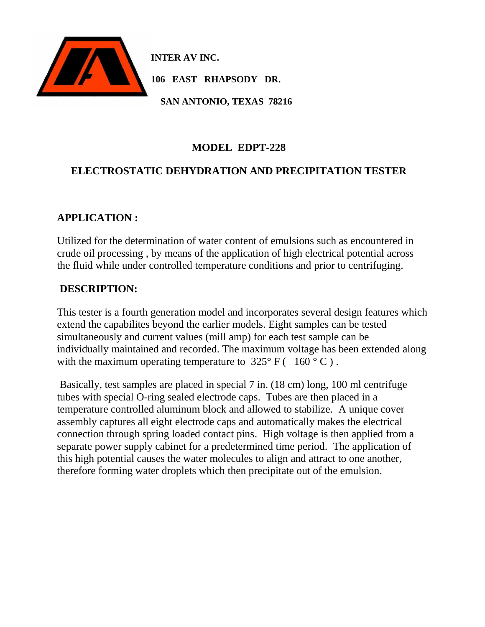

**INTER AV INC.**

**106 EAST RHAPSODY DR.**

 **SAN ANTONIO, TEXAS 78216**

### **MODEL EDPT-228**

## **ELECTROSTATIC DEHYDRATION AND PRECIPITATION TESTER**

### **APPLICATION :**

Utilized for the determination of water content of emulsions such as encountered in crude oil processing , by means of the application of high electrical potential across the fluid while under controlled temperature conditions and prior to centrifuging.

### **DESCRIPTION:**

This tester is a fourth generation model and incorporates several design features which extend the capabilites beyond the earlier models. Eight samples can be tested simultaneously and current values (mill amp) for each test sample can be individually maintained and recorded. The maximum voltage has been extended along with the maximum operating temperature to  $325^{\circ}$  F ( 160 ° C).

Basically, test samples are placed in special 7 in. (18 cm) long, 100 ml centrifuge tubes with special O-ring sealed electrode caps. Tubes are then placed in a temperature controlled aluminum block and allowed to stabilize. A unique cover assembly captures all eight electrode caps and automatically makes the electrical connection through spring loaded contact pins. High voltage is then applied from a separate power supply cabinet for a predetermined time period. The application of this high potential causes the water molecules to align and attract to one another, therefore forming water droplets which then precipitate out of the emulsion.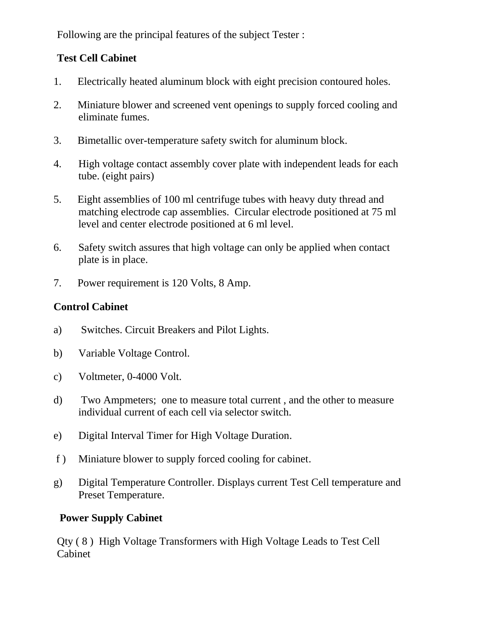Following are the principal features of the subject Tester :

## **Test Cell Cabinet**

- 1. Electrically heated aluminum block with eight precision contoured holes.
- 2. Miniature blower and screened vent openings to supply forced cooling and eliminate fumes.
- 3. Bimetallic over-temperature safety switch for aluminum block.
- 4. High voltage contact assembly cover plate with independent leads for each tube. (eight pairs)
- 5. Eight assemblies of 100 ml centrifuge tubes with heavy duty thread and matching electrode cap assemblies. Circular electrode positioned at 75 ml level and center electrode positioned at 6 ml level.
- 6. Safety switch assures that high voltage can only be applied when contact plate is in place.
- 7. Power requirement is 120 Volts, 8 Amp.

# **Control Cabinet**

- a) Switches. Circuit Breakers and Pilot Lights.
- b) Variable Voltage Control.
- c) Voltmeter, 0-4000 Volt.
- d) Two Ampmeters; one to measure total current , and the other to measure individual current of each cell via selector switch.
- e) Digital Interval Timer for High Voltage Duration.
- f ) Miniature blower to supply forced cooling for cabinet.
- g) Digital Temperature Controller. Displays current Test Cell temperature and Preset Temperature.

## **Power Supply Cabinet**

Qty ( 8 ) High Voltage Transformers with High Voltage Leads to Test Cell Cabinet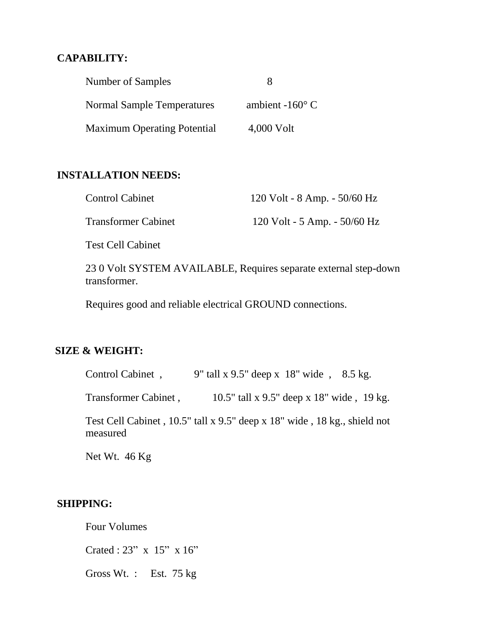### **CAPABILITY:**

| Number of Samples                  |                          |
|------------------------------------|--------------------------|
| <b>Normal Sample Temperatures</b>  | ambient -160 $\degree$ C |
| <b>Maximum Operating Potential</b> | 4,000 Volt               |

#### **INSTALLATION NEEDS:**

| <b>Control Cabinet</b>     | $120$ Volt - 8 Amp. - 50/60 Hz |
|----------------------------|--------------------------------|
| <b>Transformer Cabinet</b> | 120 Volt - 5 Amp. - 50/60 Hz   |

Test Cell Cabinet

23 0 Volt SYSTEM AVAILABLE, Requires separate external step-down transformer.

Requires good and reliable electrical GROUND connections.

### **SIZE & WEIGHT:**

| Control Cabinet,     | 9" tall x 9.5" deep x $18$ " wide, $8.5 \text{ kg}$ .                    |
|----------------------|--------------------------------------------------------------------------|
| Transformer Cabinet, | 10.5" tall x 9.5" deep x 18" wide, 19 kg.                                |
| measured             | Test Cell Cabinet, 10.5" tall x 9.5" deep x 18" wide, 18 kg., shield not |

Net Wt. 46 Kg

#### **SHIPPING:**

Four Volumes

Crated : 23" x 15" x 16"

Gross Wt. : Est. 75 kg